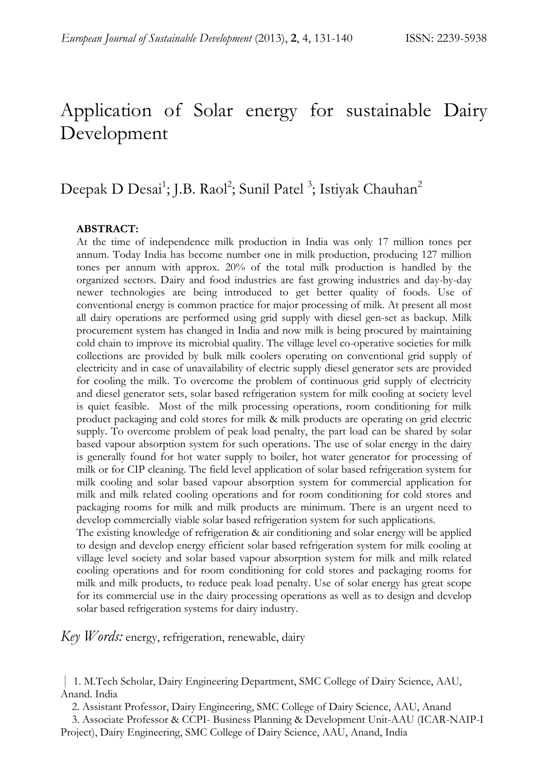# Application of Solar energy for sustainable Dairy Development

## Deepak D Desai<sup>1</sup>; J.B. Raol<sup>2</sup>; Sunil Patel<sup>3</sup>; Istiyak Chauhan<sup>2</sup>

#### **ABSTRACT:**

At the time of independence milk production in India was only 17 million tones per annum. Today India has become number one in milk production, producing 127 million tones per annum with approx. 20% of the total milk production is handled by the organized sectors. Dairy and food industries are fast growing industries and day-by-day newer technologies are being introduced to get better quality of foods. Use of conventional energy is common practice for major processing of milk. At present all most all dairy operations are performed using grid supply with diesel gen-set as backup. Milk procurement system has changed in India and now milk is being procured by maintaining cold chain to improve its microbial quality. The village level co-operative societies for milk collections are provided by bulk milk coolers operating on conventional grid supply of electricity and in case of unavailability of electric supply diesel generator sets are provided for cooling the milk. To overcome the problem of continuous grid supply of electricity and diesel generator sets, solar based refrigeration system for milk cooling at society level is quiet feasible. Most of the milk processing operations, room conditioning for milk product packaging and cold stores for milk & milk products are operating on grid electric supply. To overcome problem of peak load penalty, the part load can be shared by solar based vapour absorption system for such operations. The use of solar energy in the dairy is generally found for hot water supply to boiler, hot water generator for processing of milk or for CIP cleaning. The field level application of solar based refrigeration system for milk cooling and solar based vapour absorption system for commercial application for milk and milk related cooling operations and for room conditioning for cold stores and packaging rooms for milk and milk products are minimum. There is an urgent need to develop commercially viable solar based refrigeration system for such applications.

The existing knowledge of refrigeration & air conditioning and solar energy will be applied to design and develop energy efficient solar based refrigeration system for milk cooling at village level society and solar based vapour absorption system for milk and milk related cooling operations and for room conditioning for cold stores and packaging rooms for milk and milk products, to reduce peak load penalty. Use of solar energy has great scope for its commercial use in the dairy processing operations as well as to design and develop solar based refrigeration systems for dairy industry.

*Key Words:* energy, refrigeration, renewable, dairy

 | 1. M.Tech Scholar, Dairy Engineering Department, SMC College of Dairy Science, AAU, Anand. India

2. Assistant Professor, Dairy Engineering, SMC College of Dairy Science, AAU, Anand

 3. Associate Professor & CCPI- Business Planning & Development Unit-AAU (ICAR-NAIP-I Project), Dairy Engineering, SMC College of Dairy Science, AAU, Anand, India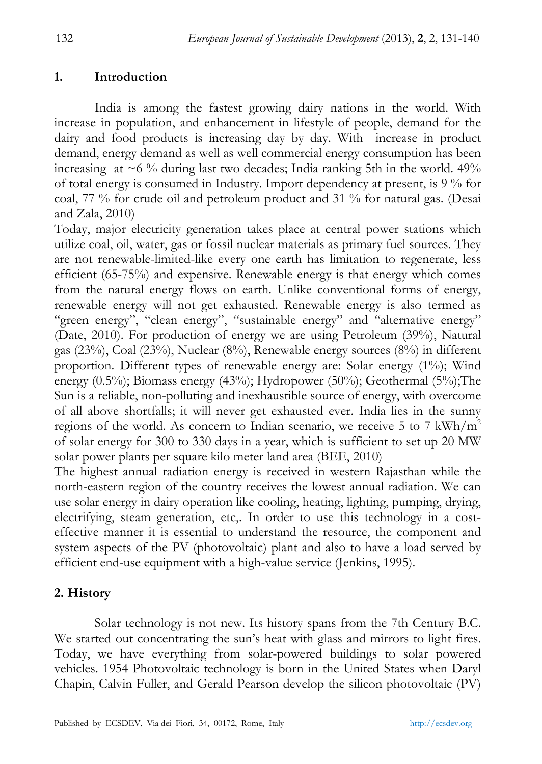#### **1. Introduction**

India is among the fastest growing dairy nations in the world. With increase in population, and enhancement in lifestyle of people, demand for the dairy and food products is increasing day by day. With increase in product demand, energy demand as well as well commercial energy consumption has been increasing at  $\sim$  6 % during last two decades; India ranking 5th in the world. 49% of total energy is consumed in Industry. Import dependency at present, is 9 % for coal, 77 % for crude oil and petroleum product and 31 % for natural gas. (Desai and Zala, 2010)

Today, major electricity generation takes place at central power stations which utilize coal, oil, water, gas or fossil nuclear materials as primary fuel sources. They are not renewable-limited-like every one earth has limitation to regenerate, less efficient (65-75%) and expensive. Renewable energy is that energy which comes from the natural energy flows on earth. Unlike conventional forms of energy, renewable energy will not get exhausted. Renewable energy is also termed as "green energy", "clean energy", "sustainable energy" and "alternative energy" (Date, 2010). For production of energy we are using Petroleum (39%), Natural gas (23%), Coal (23%), Nuclear (8%), Renewable energy sources (8%) in different proportion. Different types of renewable energy are: Solar energy (1%); Wind energy (0.5%); Biomass energy (43%); Hydropower (50%); Geothermal (5%);The Sun is a reliable, non-polluting and inexhaustible source of energy, with overcome of all above shortfalls; it will never get exhausted ever. India lies in the sunny regions of the world. As concern to Indian scenario, we receive 5 to 7 kWh/ $m<sup>2</sup>$ of solar energy for 300 to 330 days in a year, which is sufficient to set up 20 MW solar power plants per square kilo meter land area (BEE, 2010)

The highest annual radiation energy is received in western Rajasthan while the north-eastern region of the country receives the lowest annual radiation. We can use solar energy in dairy operation like cooling, heating, lighting, pumping, drying, electrifying, steam generation, etc,. In order to use this technology in a costeffective manner it is essential to understand the resource, the component and system aspects of the PV (photovoltaic) plant and also to have a load served by efficient end-use equipment with a high-value service (Jenkins, 1995).

## **2. History**

Solar technology is not new. Its history spans from the 7th Century B.C. We started out concentrating the sun's heat with glass and mirrors to light fires. Today, we have everything from solar-powered buildings to solar powered vehicles. 1954 Photovoltaic technology is born in the United States when Daryl Chapin, Calvin Fuller, and Gerald Pearson develop the silicon photovoltaic (PV)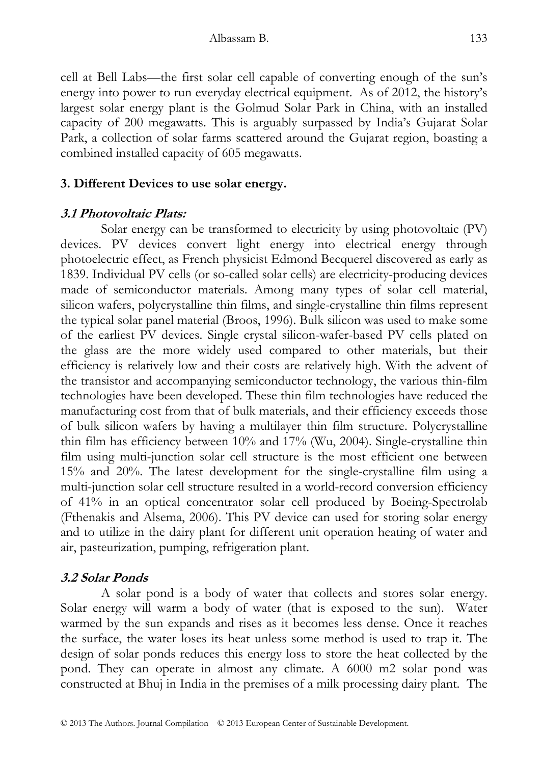cell at Bell Labs—the first solar cell capable of converting enough of the sun's energy into power to run everyday electrical equipment. As of 2012, the history's largest solar energy plant is the Golmud Solar Park in China, with an installed capacity of 200 megawatts. This is arguably surpassed by India's Gujarat Solar Park, a collection of solar farms scattered around the Gujarat region, boasting a combined installed capacity of 605 megawatts.

#### **3. Different Devices to use solar energy.**

#### **3.1 Photovoltaic Plats:**

Solar energy can be transformed to electricity by using photovoltaic (PV) devices. PV devices convert light energy into electrical energy through photoelectric effect, as French physicist Edmond Becquerel discovered as early as 1839. Individual PV cells (or so-called solar cells) are electricity-producing devices made of semiconductor materials. Among many types of solar cell material, silicon wafers, polycrystalline thin films, and single-crystalline thin films represent the typical solar panel material (Broos, 1996). Bulk silicon was used to make some of the earliest PV devices. Single crystal silicon-wafer-based PV cells plated on the glass are the more widely used compared to other materials, but their efficiency is relatively low and their costs are relatively high. With the advent of the transistor and accompanying semiconductor technology, the various thin-film technologies have been developed. These thin film technologies have reduced the manufacturing cost from that of bulk materials, and their efficiency exceeds those of bulk silicon wafers by having a multilayer thin film structure. Polycrystalline thin film has efficiency between 10% and 17% (Wu, 2004). Single-crystalline thin film using multi-junction solar cell structure is the most efficient one between 15% and 20%. The latest development for the single-crystalline film using a multi-junction solar cell structure resulted in a world-record conversion efficiency of 41% in an optical concentrator solar cell produced by Boeing-Spectrolab (Fthenakis and Alsema, 2006). This PV device can used for storing solar energy and to utilize in the dairy plant for different unit operation heating of water and air, pasteurization, pumping, refrigeration plant.

#### **3.2 Solar Ponds**

A solar pond is a body of water that collects and stores solar energy. Solar energy will warm a body of water (that is exposed to the sun). Water warmed by the sun expands and rises as it becomes less dense. Once it reaches the surface, the water loses its heat unless some method is used to trap it. The design of solar ponds reduces this energy loss to store the heat collected by the pond. They can operate in almost any climate. A 6000 m2 solar pond was constructed at Bhuj in India in the premises of a milk processing dairy plant. The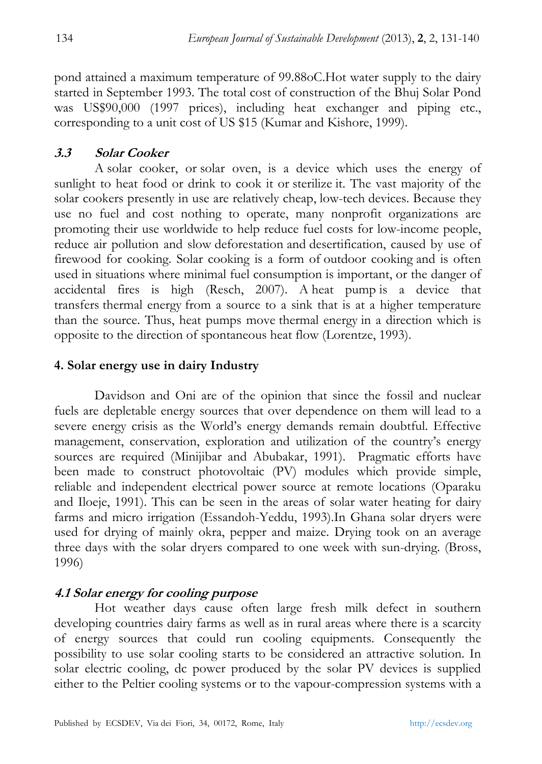pond attained a maximum temperature of 99.88oC.Hot water supply to the dairy started in September 1993. The total cost of construction of the Bhuj Solar Pond was US\$90,000 (1997 prices), including heat exchanger and piping etc., corresponding to a unit cost of US \$15 (Kumar and Kishore, 1999).

#### **3.3 Solar Cooker**

A solar cooker, or solar oven, is a device which uses the energy of sunlight to heat food or drink to cook it or sterilize it. The vast majority of the solar cookers presently in use are relatively cheap, low-tech devices. Because they use no fuel and cost nothing to operate, many nonprofit organizations are promoting their use worldwide to help reduce fuel costs for low-income people, reduce air pollution and slow deforestation and desertification, caused by use of firewood for cooking. Solar cooking is a form of outdoor cooking and is often used in situations where minimal fuel consumption is important, or the danger of accidental fires is high (Resch, 2007). A heat pump is a device that transfers thermal energy from a source to a sink that is at a higher temperature than the source. Thus, heat pumps move thermal energy in a direction which is opposite to the direction of spontaneous heat flow (Lorentze, 1993).

#### **4. Solar energy use in dairy Industry**

Davidson and Oni are of the opinion that since the fossil and nuclear fuels are depletable energy sources that over dependence on them will lead to a severe energy crisis as the World's energy demands remain doubtful. Effective management, conservation, exploration and utilization of the country's energy sources are required (Minijibar and Abubakar, 1991). Pragmatic efforts have been made to construct photovoltaic (PV) modules which provide simple, reliable and independent electrical power source at remote locations (Oparaku and Iloeje, 1991). This can be seen in the areas of solar water heating for dairy farms and micro irrigation (Essandoh-Yeddu, 1993).In Ghana solar dryers were used for drying of mainly okra, pepper and maize. Drying took on an average three days with the solar dryers compared to one week with sun-drying. (Bross, 1996)

## **4.1 Solar energy for cooling purpose**

Hot weather days cause often large fresh milk defect in southern developing countries dairy farms as well as in rural areas where there is a scarcity of energy sources that could run cooling equipments. Consequently the possibility to use solar cooling starts to be considered an attractive solution. In solar electric cooling, dc power produced by the solar PV devices is supplied either to the Peltier cooling systems or to the vapour-compression systems with a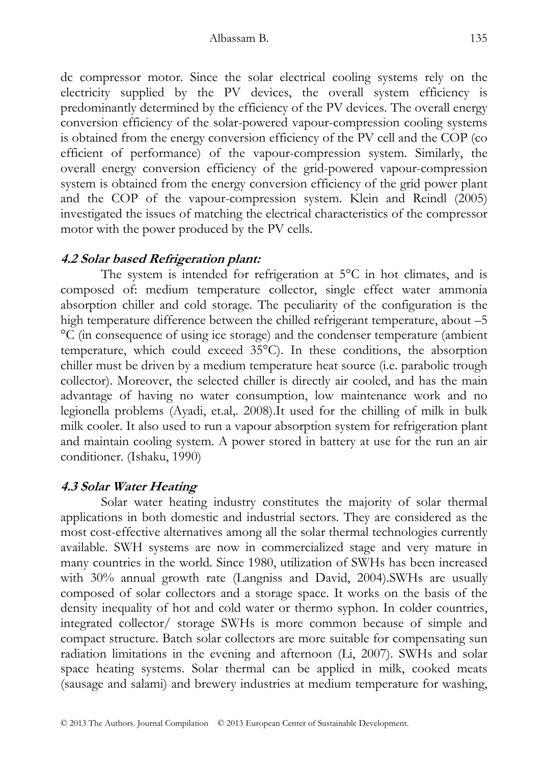dc compressor motor. Since the solar electrical cooling systems rely on the electricity supplied by the PV devices, the overall system efficiency is predominantly determined by the efficiency of the PV devices. The overall energy conversion efficiency of the solar-powered vapour-compression cooling systems is obtained from the energy conversion efficiency of the PV cell and the COP (co efficient of performance) of the vapour-compression system. Similarly, the overall energy conversion efficiency of the grid-powered vapour-compression system is obtained from the energy conversion efficiency of the grid power plant and the COP of the vapour-compression system. Klein and Reindl (2005) investigated the issues of matching the electrical characteristics of the compressor motor with the power produced by the PV cells.

## **4.2 Solar based Refrigeration plant:**

The system is intended for refrigeration at 5°C in hot climates, and is composed of: medium temperature collector, single effect water ammonia absorption chiller and cold storage. The peculiarity of the configuration is the high temperature difference between the chilled refrigerant temperature, about  $-5$ °C (in consequence of using ice storage) and the condenser temperature (ambient temperature, which could exceed 35°C). In these conditions, the absorption chiller must be driven by a medium temperature heat source (i.e. parabolic trough collector). Moreover, the selected chiller is directly air cooled, and has the main advantage of having no water consumption, low maintenance work and no legionella problems (Ayadi, et.al,. 2008).It used for the chilling of milk in bulk milk cooler. It also used to run a vapour absorption system for refrigeration plant and maintain cooling system. A power stored in battery at use for the run an air conditioner. (Ishaku, 1990)

## **4.3 Solar Water Heating**

Solar water heating industry constitutes the majority of solar thermal applications in both domestic and industrial sectors. They are considered as the most cost-effective alternatives among all the solar thermal technologies currently available. SWH systems are now in commercialized stage and very mature in many countries in the world. Since 1980, utilization of SWHs has been increased with 30% annual growth rate (Langniss and David, 2004).SWHs are usually composed of solar collectors and a storage space. It works on the basis of the density inequality of hot and cold water or thermo syphon. In colder countries, integrated collector/ storage SWHs is more common because of simple and compact structure. Batch solar collectors are more suitable for compensating sun radiation limitations in the evening and afternoon (Li, 2007). SWHs and solar space heating systems. Solar thermal can be applied in milk, cooked meats (sausage and salami) and brewery industries at medium temperature for washing,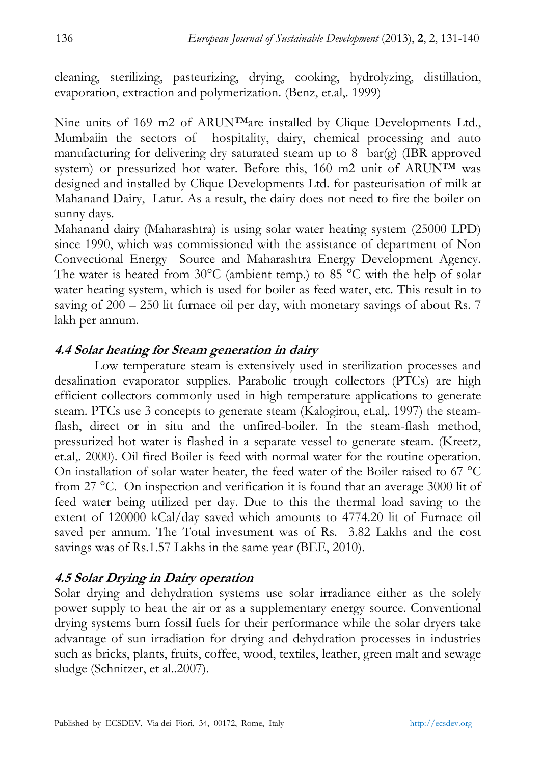cleaning, sterilizing, pasteurizing, drying, cooking, hydrolyzing, distillation, evaporation, extraction and polymerization. (Benz, et.al,. 1999)

Nine units of 169 m2 of ARUN™are installed by Clique Developments Ltd., Mumbaiin the sectors of hospitality, dairy, chemical processing and auto manufacturing for delivering dry saturated steam up to 8 bar(g) (IBR approved system) or pressurized hot water. Before this, 160 m2 unit of ARUN<sup>TM</sup> was designed and installed by Clique Developments Ltd. for pasteurisation of milk at Mahanand Dairy, Latur. As a result, the dairy does not need to fire the boiler on sunny days.

Mahanand dairy (Maharashtra) is using solar water heating system (25000 LPD) since 1990, which was commissioned with the assistance of department of Non Convectional Energy Source and Maharashtra Energy Development Agency. The water is heated from 30°C (ambient temp.) to 85 °C with the help of solar water heating system, which is used for boiler as feed water, etc. This result in to saving of 200 – 250 lit furnace oil per day, with monetary savings of about Rs. 7 lakh per annum.

## **4.4 Solar heating for Steam generation in dairy**

Low temperature steam is extensively used in sterilization processes and desalination evaporator supplies. Parabolic trough collectors (PTCs) are high efficient collectors commonly used in high temperature applications to generate steam. PTCs use 3 concepts to generate steam (Kalogirou, et.al,. 1997) the steamflash, direct or in situ and the unfired-boiler. In the steam-flash method, pressurized hot water is flashed in a separate vessel to generate steam. (Kreetz, et.al,. 2000). Oil fired Boiler is feed with normal water for the routine operation. On installation of solar water heater, the feed water of the Boiler raised to 67 °C from 27 °C. On inspection and verification it is found that an average 3000 lit of feed water being utilized per day. Due to this the thermal load saving to the extent of 120000 kCal/day saved which amounts to 4774.20 lit of Furnace oil saved per annum. The Total investment was of Rs. 3.82 Lakhs and the cost savings was of Rs.1.57 Lakhs in the same year (BEE, 2010).

## **4.5 Solar Drying in Dairy operation**

Solar drying and dehydration systems use solar irradiance either as the solely power supply to heat the air or as a supplementary energy source. Conventional drying systems burn fossil fuels for their performance while the solar dryers take advantage of sun irradiation for drying and dehydration processes in industries such as bricks, plants, fruits, coffee, wood, textiles, leather, green malt and sewage sludge (Schnitzer, et al..2007).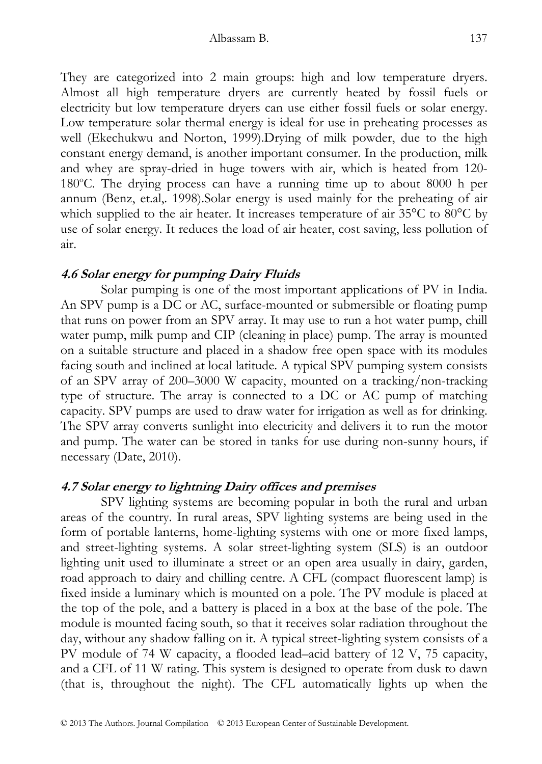They are categorized into 2 main groups: high and low temperature dryers. Almost all high temperature dryers are currently heated by fossil fuels or electricity but low temperature dryers can use either fossil fuels or solar energy. Low temperature solar thermal energy is ideal for use in preheating processes as well (Ekechukwu and Norton, 1999).Drying of milk powder, due to the high constant energy demand, is another important consumer. In the production, milk and whey are spray-dried in huge towers with air, which is heated from 120- 180°C. The drying process can have a running time up to about 8000 h per annum (Benz, et.al,. 1998).Solar energy is used mainly for the preheating of air which supplied to the air heater. It increases temperature of air 35°C to 80°C by use of solar energy. It reduces the load of air heater, cost saving, less pollution of air.

#### **4.6 Solar energy for pumping Dairy Fluids**

Solar pumping is one of the most important applications of PV in India. An SPV pump is a DC or AC, surface-mounted or submersible or floating pump that runs on power from an SPV array. It may use to run a hot water pump, chill water pump, milk pump and CIP (cleaning in place) pump. The array is mounted on a suitable structure and placed in a shadow free open space with its modules facing south and inclined at local latitude. A typical SPV pumping system consists of an SPV array of 200–3000 W capacity, mounted on a tracking/non-tracking type of structure. The array is connected to a DC or AC pump of matching capacity. SPV pumps are used to draw water for irrigation as well as for drinking. The SPV array converts sunlight into electricity and delivers it to run the motor and pump. The water can be stored in tanks for use during non-sunny hours, if necessary (Date, 2010).

## **4.7 Solar energy to lightning Dairy offices and premises**

SPV lighting systems are becoming popular in both the rural and urban areas of the country. In rural areas, SPV lighting systems are being used in the form of portable lanterns, home-lighting systems with one or more fixed lamps, and street-lighting systems. A solar street-lighting system (SLS) is an outdoor lighting unit used to illuminate a street or an open area usually in dairy, garden, road approach to dairy and chilling centre. A CFL (compact fluorescent lamp) is fixed inside a luminary which is mounted on a pole. The PV module is placed at the top of the pole, and a battery is placed in a box at the base of the pole. The module is mounted facing south, so that it receives solar radiation throughout the day, without any shadow falling on it. A typical street-lighting system consists of a PV module of 74 W capacity, a flooded lead–acid battery of 12 V, 75 capacity, and a CFL of 11 W rating. This system is designed to operate from dusk to dawn (that is, throughout the night). The CFL automatically lights up when the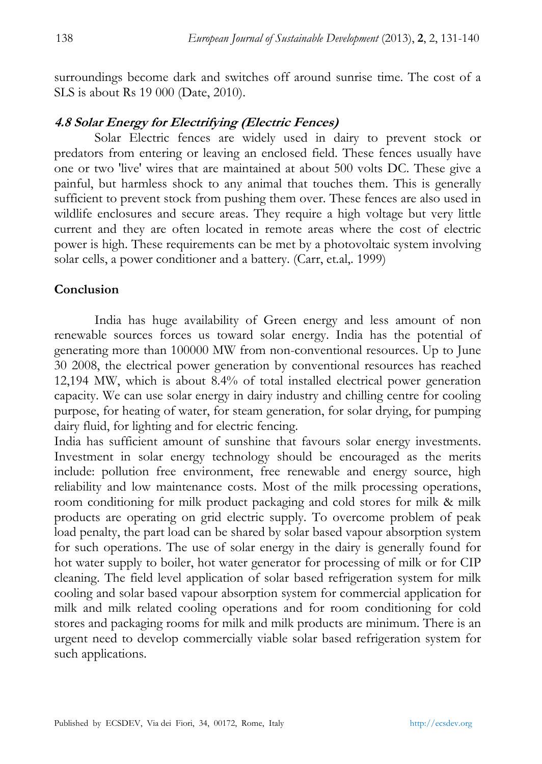surroundings become dark and switches off around sunrise time. The cost of a SLS is about Rs 19 000 (Date, 2010).

## **4.8 Solar Energy for Electrifying (Electric Fences)**

Solar Electric fences are widely used in dairy to prevent stock or predators from entering or leaving an enclosed field. These fences usually have one or two 'live' wires that are maintained at about 500 volts DC. These give a painful, but harmless shock to any animal that touches them. This is generally sufficient to prevent stock from pushing them over. These fences are also used in wildlife enclosures and secure areas. They require a high voltage but very little current and they are often located in remote areas where the cost of electric power is high. These requirements can be met by a photovoltaic system involving solar cells, a power conditioner and a battery. (Carr, et.al,. 1999)

#### **Conclusion**

India has huge availability of Green energy and less amount of non renewable sources forces us toward solar energy. India has the potential of generating more than 100000 MW from non-conventional resources. Up to June 30 2008, the electrical power generation by conventional resources has reached 12,194 MW, which is about 8.4% of total installed electrical power generation capacity. We can use solar energy in dairy industry and chilling centre for cooling purpose, for heating of water, for steam generation, for solar drying, for pumping dairy fluid, for lighting and for electric fencing.

India has sufficient amount of sunshine that favours solar energy investments. Investment in solar energy technology should be encouraged as the merits include: pollution free environment, free renewable and energy source, high reliability and low maintenance costs. Most of the milk processing operations, room conditioning for milk product packaging and cold stores for milk & milk products are operating on grid electric supply. To overcome problem of peak load penalty, the part load can be shared by solar based vapour absorption system for such operations. The use of solar energy in the dairy is generally found for hot water supply to boiler, hot water generator for processing of milk or for CIP cleaning. The field level application of solar based refrigeration system for milk cooling and solar based vapour absorption system for commercial application for milk and milk related cooling operations and for room conditioning for cold stores and packaging rooms for milk and milk products are minimum. There is an urgent need to develop commercially viable solar based refrigeration system for such applications.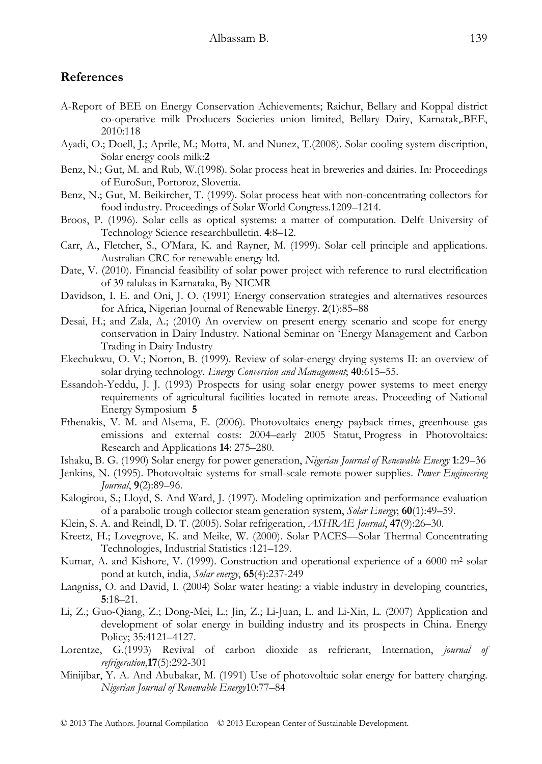#### **References**

- A-Report of BEE on Energy Conservation Achievements; Raichur, Bellary and Koppal district co-operative milk Producers Societies union limited, Bellary Dairy, Karnatak,.BEE, 2010:118
- Ayadi, O.; Doell, J.; Aprile, M.; Motta, M. and Nunez, T.(2008). Solar cooling system discription, Solar energy cools milk:**2**
- Benz, N.; Gut, M. and Rub, W.(1998). Solar process heat in breweries and dairies. In: Proceedings of EuroSun, Portoroz, Slovenia.
- Benz, N.; Gut, M. Beikircher, T. (1999). Solar process heat with non-concentrating collectors for food industry. Proceedings of Solar World Congress.1209–1214.
- Broos, P. (1996). Solar cells as optical systems: a matter of computation. Delft University of Technology Science researchbulletin. **4**:8–12.
- Carr, A., Fletcher, S., O'Mara, K. and Rayner, M. (1999). Solar cell principle and applications. Australian CRC for renewable energy ltd.
- Date, V. (2010). Financial feasibility of solar power project with reference to rural electrification of 39 talukas in Karnataka, By NICMR
- Davidson, I. E. and Oni, J. O. (1991) Energy conservation strategies and alternatives resources for Africa, Nigerian Journal of Renewable Energy. **2**(1):85–88
- Desai, H.; and Zala, A.; (2010) An overview on present energy scenario and scope for energy conservation in Dairy Industry. National Seminar on 'Energy Management and Carbon Trading in Dairy Industry
- Ekechukwu, O. V.; Norton, B. (1999). Review of solar-energy drying systems II: an overview of solar drying technology. *Energy Conversion and Management*; **40**:615–55.
- Essandoh-Yeddu, J. J. (1993) Prospects for using solar energy power systems to meet energy requirements of agricultural facilities located in remote areas. Proceeding of National Energy Symposium **5**
- Fthenakis, V. M. and Alsema, E. (2006). Photovoltaics energy payback times, greenhouse gas emissions and external costs: 2004–early 2005 Statut, Progress in Photovoltaics: Research and Applications **14**: 275–280.
- Ishaku, B. G. (1990) Solar energy for power generation, *Nigerian Journal of Renewable Energy* **1**:29–36
- Jenkins, N. (1995). Photovoltaic systems for small-scale remote power supplies. *Power Engineering Journal*, **9**(2):89–96.
- Kalogirou, S.; Lloyd, S. And Ward, J. (1997). Modeling optimization and performance evaluation of a parabolic trough collector steam generation system, *Solar Energy*; **60**(1):49–59.
- Klein, S. A. and Reindl, D. T. (2005). Solar refrigeration, *ASHRAE Journal*, **47**(9):26–30.
- Kreetz, H.; Lovegrove, K. and Meike, W. (2000). Solar PACES—Solar Thermal Concentrating Technologies, Industrial Statistics :121–129.
- Kumar, A. and Kishore, V. (1999). Construction and operational experience of a 6000 m<sup>2</sup> solar pond at kutch, india, *Solar energy*, **65**(4):237-249
- Langniss, O. and David, I. (2004) Solar water heating: a viable industry in developing countries, **5**:18–21.
- Li, Z.; Guo-Qiang, Z.; Dong-Mei, L.; Jin, Z.; Li-Juan, L. and Li-Xin, L. (2007) Application and development of solar energy in building industry and its prospects in China. Energy Policy; 35:4121–4127.
- Lorentze, G.(1993) Revival of carbon dioxide as refrierant, Internation, *journal of refrigeration*,**17**(5):292-301
- Minijibar, Y. A. And Abubakar, M. (1991) Use of photovoltaic solar energy for battery charging. *Nigerian Journal of Renewable Energy*10:77–84